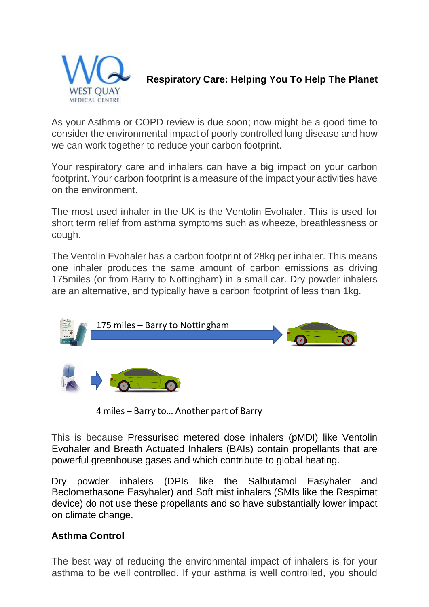

## **Respiratory Care: Helping You To Help The Planet**

As your Asthma or COPD review is due soon; now might be a good time to consider the environmental impact of poorly controlled lung disease and how we can work together to reduce your carbon footprint.

Your respiratory care and inhalers can have a big impact on your carbon footprint. Your carbon footprint is a measure of the impact your activities have on the environment.

The most used inhaler in the UK is the Ventolin Evohaler. This is used for short term relief from asthma symptoms such as wheeze, breathlessness or cough.

The Ventolin Evohaler has a carbon footprint of 28kg per inhaler. This means one inhaler produces the same amount of carbon emissions as driving 175miles (or from Barry to Nottingham) in a small car. Dry powder inhalers are an alternative, and typically have a carbon footprint of less than 1kg.



4 miles – Barry to… Another part of Barry

This is because Pressurised metered dose inhalers (pMDI) like Ventolin Evohaler and Breath Actuated Inhalers (BAIs) contain propellants that are powerful greenhouse gases and which contribute to global heating.

Dry powder inhalers (DPIs like the Salbutamol Easyhaler and Beclomethasone Easyhaler) and Soft mist inhalers (SMIs like the Respimat device) do not use these propellants and so have substantially lower impact on climate change.

## **Asthma Control**

The best way of reducing the environmental impact of inhalers is for your asthma to be well controlled. If your asthma is well controlled, you should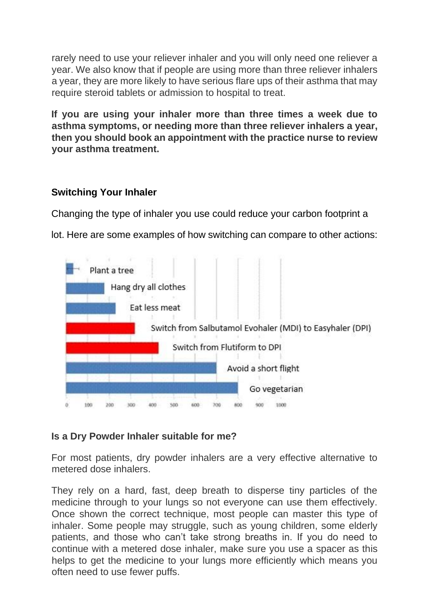rarely need to use your reliever inhaler and you will only need one reliever a year. We also know that if people are using more than three reliever inhalers a year, they are more likely to have serious flare ups of their asthma that may require steroid tablets or admission to hospital to treat.

**If you are using your inhaler more than three times a week due to asthma symptoms, or needing more than three reliever inhalers a year, then you should book an appointment with the practice nurse to review your asthma treatment.**

## **Switching Your Inhaler**

Changing the type of inhaler you use could reduce your carbon footprint a

lot. Here are some examples of how switching can compare to other actions:



## **Is a Dry Powder Inhaler suitable for me?**

For most patients, dry powder inhalers are a very effective alternative to metered dose inhalers.

They rely on a hard, fast, deep breath to disperse tiny particles of the medicine through to your lungs so not everyone can use them effectively. Once shown the correct technique, most people can master this type of inhaler. Some people may struggle, such as young children, some elderly patients, and those who can't take strong breaths in. If you do need to continue with a metered dose inhaler, make sure you use a spacer as this helps to get the medicine to your lungs more efficiently which means you often need to use fewer puffs.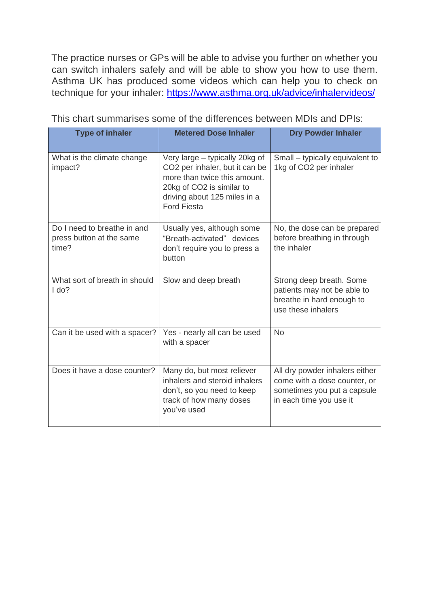The practice nurses or GPs will be able to advise you further on whether you can switch inhalers safely and will be able to show you how to use them. Asthma UK has produced some videos which can help you to check on technique for your inhaler: [https://www.asthma.org.uk/advice/inhalervideos/](https://www.asthma.org.uk/advice/inhaler-videos/)

| <b>Type of inhaler</b>                                           | <b>Metered Dose Inhaler</b>                                                                                                                                                         | <b>Dry Powder Inhaler</b>                                                                                                |
|------------------------------------------------------------------|-------------------------------------------------------------------------------------------------------------------------------------------------------------------------------------|--------------------------------------------------------------------------------------------------------------------------|
| What is the climate change<br>impact?                            | Very large – typically 20kg of<br>CO2 per inhaler, but it can be<br>more than twice this amount.<br>20kg of CO2 is similar to<br>driving about 125 miles in a<br><b>Ford Fiesta</b> | Small – typically equivalent to<br>1kg of CO2 per inhaler                                                                |
| Do I need to breathe in and<br>press button at the same<br>time? | Usually yes, although some<br>"Breath-activated" devices<br>don't require you to press a<br>button                                                                                  | No, the dose can be prepared<br>before breathing in through<br>the inhaler                                               |
| What sort of breath in should<br>Ido?                            | Slow and deep breath                                                                                                                                                                | Strong deep breath. Some<br>patients may not be able to<br>breathe in hard enough to<br>use these inhalers               |
| Can it be used with a spacer?                                    | Yes - nearly all can be used<br>with a spacer                                                                                                                                       | <b>No</b>                                                                                                                |
| Does it have a dose counter?                                     | Many do, but most reliever<br>inhalers and steroid inhalers<br>don't, so you need to keep<br>track of how many doses<br>you've used                                                 | All dry powder inhalers either<br>come with a dose counter, or<br>sometimes you put a capsule<br>in each time you use it |

This chart summarises some of the differences between MDIs and DPIs: